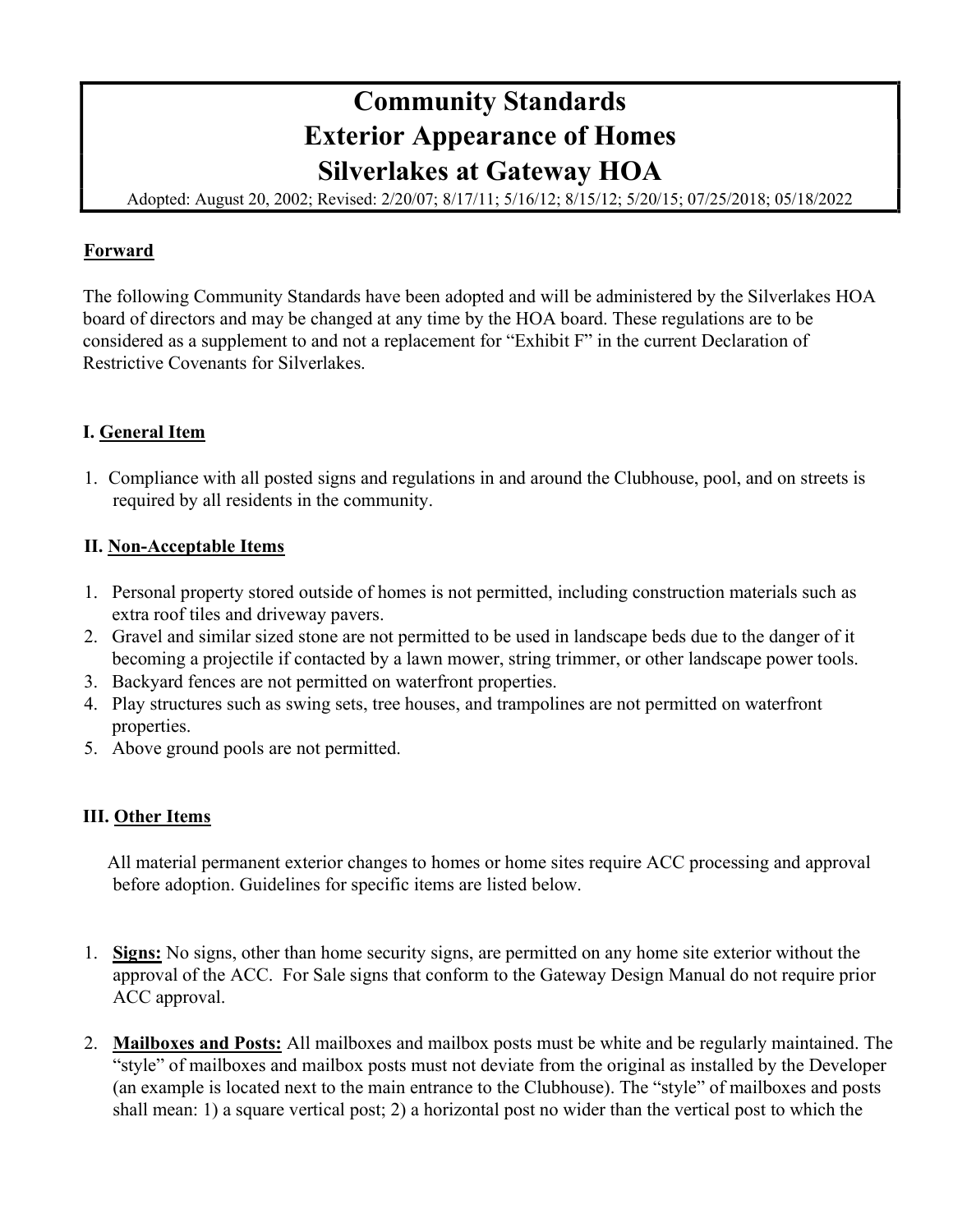# Community Standards Exterior Appearance of Homes Silverlakes at Gateway HOA

Adopted: August 20, 2002; Revised: 2/20/07; 8/17/11; 5/16/12; 8/15/12; 5/20/15; 07/25/2018; 05/18/2022

# Forward

The following Community Standards have been adopted and will be administered by the Silverlakes HOA board of directors and may be changed at any time by the HOA board. These regulations are to be considered as a supplement to and not a replacement for "Exhibit F" in the current Declaration of Restrictive Covenants for Silverlakes.

# I. General Item

1. Compliance with all posted signs and regulations in and around the Clubhouse, pool, and on streets is required by all residents in the community.

### II. Non-Acceptable Items

- 1. Personal property stored outside of homes is not permitted, including construction materials such as extra roof tiles and driveway pavers.
- 2. Gravel and similar sized stone are not permitted to be used in landscape beds due to the danger of it becoming a projectile if contacted by a lawn mower, string trimmer, or other landscape power tools.
- 3. Backyard fences are not permitted on waterfront properties.
- 4. Play structures such as swing sets, tree houses, and trampolines are not permitted on waterfront properties.
- 5. Above ground pools are not permitted.

### III. Other Items

 All material permanent exterior changes to homes or home sites require ACC processing and approval before adoption. Guidelines for specific items are listed below.

- 1. Signs: No signs, other than home security signs, are permitted on any home site exterior without the approval of the ACC. For Sale signs that conform to the Gateway Design Manual do not require prior ACC approval.
- 2. Mailboxes and Posts: All mailboxes and mailbox posts must be white and be regularly maintained. The "style" of mailboxes and mailbox posts must not deviate from the original as installed by the Developer (an example is located next to the main entrance to the Clubhouse). The "style" of mailboxes and posts shall mean: 1) a square vertical post; 2) a horizontal post no wider than the vertical post to which the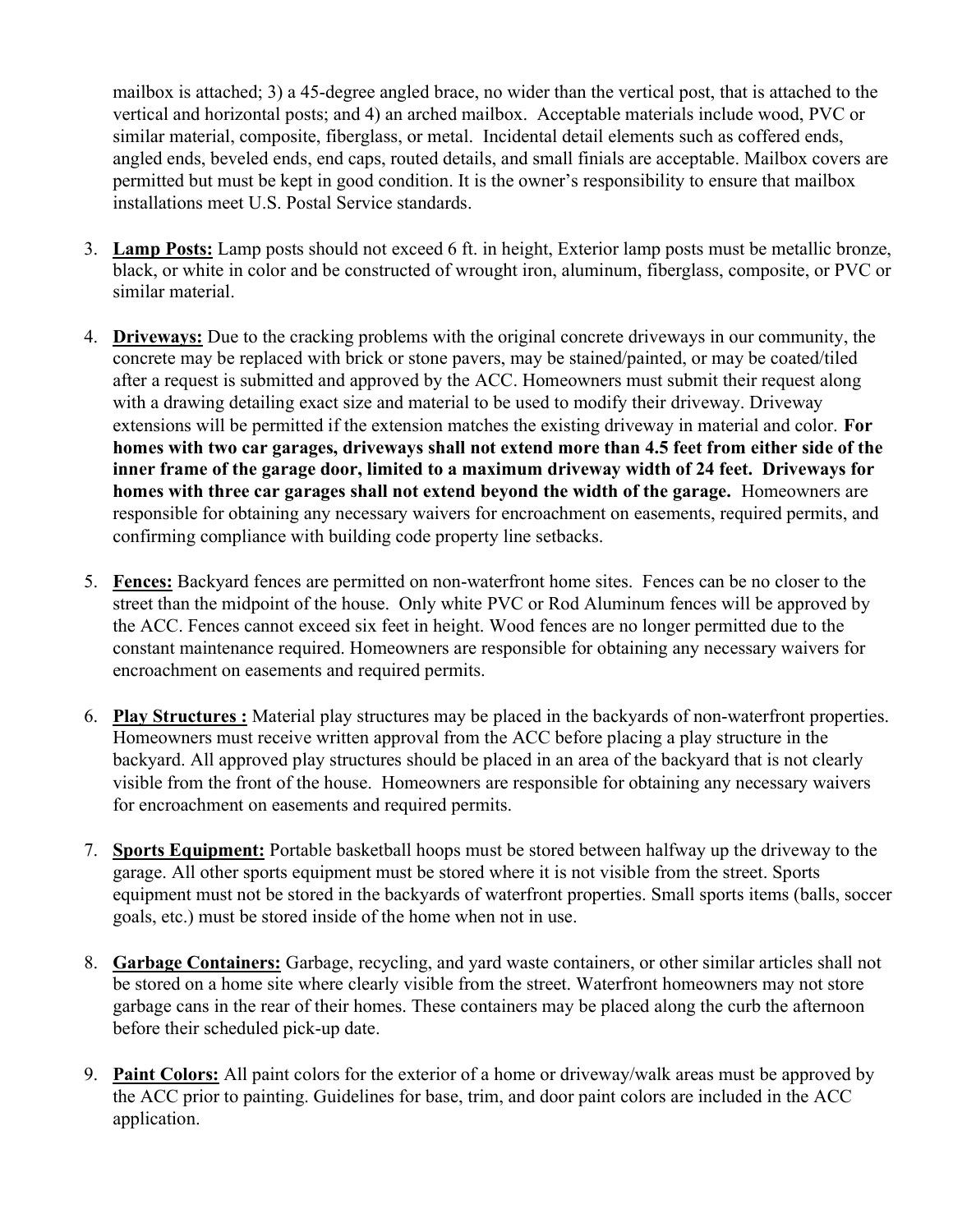mailbox is attached; 3) a 45-degree angled brace, no wider than the vertical post, that is attached to the vertical and horizontal posts; and 4) an arched mailbox. Acceptable materials include wood, PVC or similar material, composite, fiberglass, or metal. Incidental detail elements such as coffered ends, angled ends, beveled ends, end caps, routed details, and small finials are acceptable. Mailbox covers are permitted but must be kept in good condition. It is the owner's responsibility to ensure that mailbox installations meet U.S. Postal Service standards.

- 3. Lamp Posts: Lamp posts should not exceed 6 ft. in height, Exterior lamp posts must be metallic bronze, black, or white in color and be constructed of wrought iron, aluminum, fiberglass, composite, or PVC or similar material.
- 4. Driveways: Due to the cracking problems with the original concrete driveways in our community, the concrete may be replaced with brick or stone pavers, may be stained/painted, or may be coated/tiled after a request is submitted and approved by the ACC. Homeowners must submit their request along with a drawing detailing exact size and material to be used to modify their driveway. Driveway extensions will be permitted if the extension matches the existing driveway in material and color. For homes with two car garages, driveways shall not extend more than 4.5 feet from either side of the inner frame of the garage door, limited to a maximum driveway width of 24 feet. Driveways for homes with three car garages shall not extend beyond the width of the garage. Homeowners are responsible for obtaining any necessary waivers for encroachment on easements, required permits, and confirming compliance with building code property line setbacks.
- 5. Fences: Backyard fences are permitted on non-waterfront home sites. Fences can be no closer to the street than the midpoint of the house. Only white PVC or Rod Aluminum fences will be approved by the ACC. Fences cannot exceed six feet in height. Wood fences are no longer permitted due to the constant maintenance required. Homeowners are responsible for obtaining any necessary waivers for encroachment on easements and required permits.
- 6. Play Structures : Material play structures may be placed in the backyards of non-waterfront properties. Homeowners must receive written approval from the ACC before placing a play structure in the backyard. All approved play structures should be placed in an area of the backyard that is not clearly visible from the front of the house. Homeowners are responsible for obtaining any necessary waivers for encroachment on easements and required permits.
- 7. Sports Equipment: Portable basketball hoops must be stored between halfway up the driveway to the garage. All other sports equipment must be stored where it is not visible from the street. Sports equipment must not be stored in the backyards of waterfront properties. Small sports items (balls, soccer goals, etc.) must be stored inside of the home when not in use.
- 8. Garbage Containers: Garbage, recycling, and yard waste containers, or other similar articles shall not be stored on a home site where clearly visible from the street. Waterfront homeowners may not store garbage cans in the rear of their homes. These containers may be placed along the curb the afternoon before their scheduled pick-up date.
- 9. Paint Colors: All paint colors for the exterior of a home or driveway/walk areas must be approved by the ACC prior to painting. Guidelines for base, trim, and door paint colors are included in the ACC application.